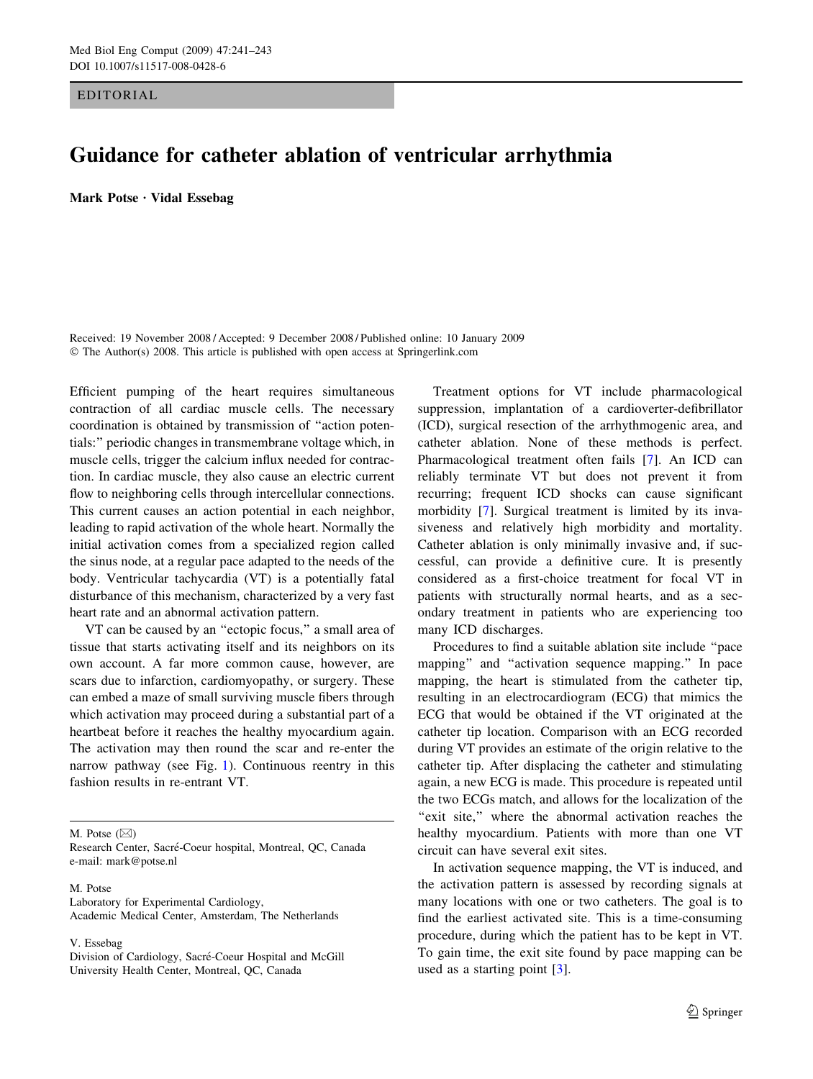EDITORIAL

## Guidance for catheter ablation of ventricular arrhythmia

Mark Potse · Vidal Essebag

Received: 19 November 2008 / Accepted: 9 December 2008 / Published online: 10 January 2009  $\odot$  The Author(s) 2008. This article is published with open access at Springerlink.com

Efficient pumping of the heart requires simultaneous contraction of all cardiac muscle cells. The necessary coordination is obtained by transmission of ''action potentials:'' periodic changes in transmembrane voltage which, in muscle cells, trigger the calcium influx needed for contraction. In cardiac muscle, they also cause an electric current flow to neighboring cells through intercellular connections. This current causes an action potential in each neighbor, leading to rapid activation of the whole heart. Normally the initial activation comes from a specialized region called the sinus node, at a regular pace adapted to the needs of the body. Ventricular tachycardia (VT) is a potentially fatal disturbance of this mechanism, characterized by a very fast heart rate and an abnormal activation pattern.

VT can be caused by an ''ectopic focus,'' a small area of tissue that starts activating itself and its neighbors on its own account. A far more common cause, however, are scars due to infarction, cardiomyopathy, or surgery. These can embed a maze of small surviving muscle fibers through which activation may proceed during a substantial part of a heartbeat before it reaches the healthy myocardium again. The activation may then round the scar and re-enter the narrow pathway (see Fig. [1\)](#page-1-0). Continuous reentry in this fashion results in re-entrant VT.

M. Potse  $(\boxtimes)$ 

## M. Potse

Laboratory for Experimental Cardiology, Academic Medical Center, Amsterdam, The Netherlands

V. Essebag

Treatment options for VT include pharmacological suppression, implantation of a cardioverter-defibrillator (ICD), surgical resection of the arrhythmogenic area, and catheter ablation. None of these methods is perfect. Pharmacological treatment often fails [\[7](#page-2-0)]. An ICD can reliably terminate VT but does not prevent it from recurring; frequent ICD shocks can cause significant morbidity [[7\]](#page-2-0). Surgical treatment is limited by its invasiveness and relatively high morbidity and mortality. Catheter ablation is only minimally invasive and, if successful, can provide a definitive cure. It is presently considered as a first-choice treatment for focal VT in patients with structurally normal hearts, and as a secondary treatment in patients who are experiencing too many ICD discharges.

Procedures to find a suitable ablation site include ''pace mapping'' and ''activation sequence mapping.'' In pace mapping, the heart is stimulated from the catheter tip, resulting in an electrocardiogram (ECG) that mimics the ECG that would be obtained if the VT originated at the catheter tip location. Comparison with an ECG recorded during VT provides an estimate of the origin relative to the catheter tip. After displacing the catheter and stimulating again, a new ECG is made. This procedure is repeated until the two ECGs match, and allows for the localization of the "exit site," where the abnormal activation reaches the healthy myocardium. Patients with more than one VT circuit can have several exit sites.

In activation sequence mapping, the VT is induced, and the activation pattern is assessed by recording signals at many locations with one or two catheters. The goal is to find the earliest activated site. This is a time-consuming procedure, during which the patient has to be kept in VT. To gain time, the exit site found by pace mapping can be used as a starting point [[3\]](#page-2-0).

Research Center, Sacré-Coeur hospital, Montreal, QC, Canada e-mail: mark@potse.nl

Division of Cardiology, Sacré-Coeur Hospital and McGill University Health Center, Montreal, QC, Canada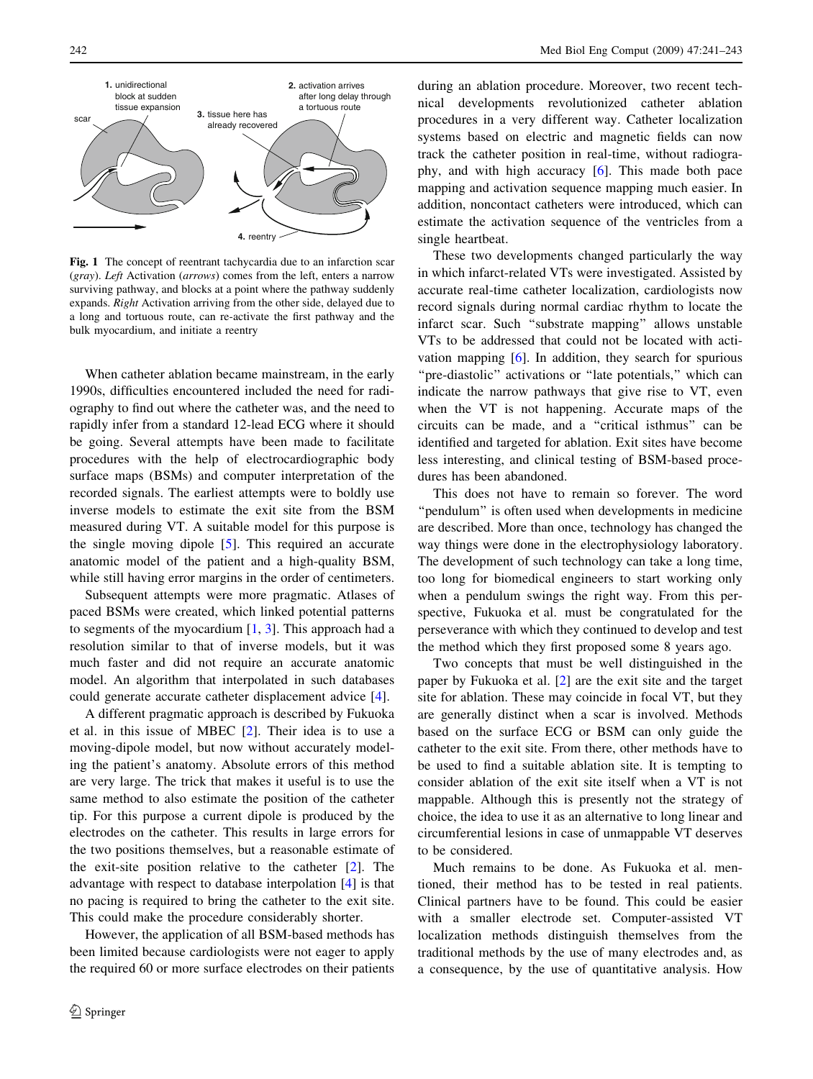<span id="page-1-0"></span>

Fig. 1 The concept of reentrant tachycardia due to an infarction scar (gray). Left Activation (arrows) comes from the left, enters a narrow surviving pathway, and blocks at a point where the pathway suddenly expands. Right Activation arriving from the other side, delayed due to a long and tortuous route, can re-activate the first pathway and the bulk myocardium, and initiate a reentry

When catheter ablation became mainstream, in the early 1990s, difficulties encountered included the need for radiography to find out where the catheter was, and the need to rapidly infer from a standard 12-lead ECG where it should be going. Several attempts have been made to facilitate procedures with the help of electrocardiographic body surface maps (BSMs) and computer interpretation of the recorded signals. The earliest attempts were to boldly use inverse models to estimate the exit site from the BSM measured during VT. A suitable model for this purpose is the single moving dipole [\[5](#page-2-0)]. This required an accurate anatomic model of the patient and a high-quality BSM, while still having error margins in the order of centimeters.

Subsequent attempts were more pragmatic. Atlases of paced BSMs were created, which linked potential patterns to segments of the myocardium  $[1, 3]$  $[1, 3]$  $[1, 3]$  $[1, 3]$  $[1, 3]$ . This approach had a resolution similar to that of inverse models, but it was much faster and did not require an accurate anatomic model. An algorithm that interpolated in such databases could generate accurate catheter displacement advice [[4\]](#page-2-0).

A different pragmatic approach is described by Fukuoka et al. in this issue of MBEC [[2\]](#page-2-0). Their idea is to use a moving-dipole model, but now without accurately modeling the patient's anatomy. Absolute errors of this method are very large. The trick that makes it useful is to use the same method to also estimate the position of the catheter tip. For this purpose a current dipole is produced by the electrodes on the catheter. This results in large errors for the two positions themselves, but a reasonable estimate of the exit-site position relative to the catheter [[2\]](#page-2-0). The advantage with respect to database interpolation [[4](#page-2-0)] is that no pacing is required to bring the catheter to the exit site. This could make the procedure considerably shorter.

However, the application of all BSM-based methods has been limited because cardiologists were not eager to apply the required 60 or more surface electrodes on their patients during an ablation procedure. Moreover, two recent technical developments revolutionized catheter ablation procedures in a very different way. Catheter localization systems based on electric and magnetic fields can now track the catheter position in real-time, without radiography, and with high accuracy [[6\]](#page-2-0). This made both pace mapping and activation sequence mapping much easier. In addition, noncontact catheters were introduced, which can estimate the activation sequence of the ventricles from a single heartbeat.

These two developments changed particularly the way in which infarct-related VTs were investigated. Assisted by accurate real-time catheter localization, cardiologists now record signals during normal cardiac rhythm to locate the infarct scar. Such ''substrate mapping'' allows unstable VTs to be addressed that could not be located with activation mapping [[6\]](#page-2-0). In addition, they search for spurious "pre-diastolic" activations or "late potentials," which can indicate the narrow pathways that give rise to VT, even when the VT is not happening. Accurate maps of the circuits can be made, and a ''critical isthmus'' can be identified and targeted for ablation. Exit sites have become less interesting, and clinical testing of BSM-based procedures has been abandoned.

This does not have to remain so forever. The word ''pendulum'' is often used when developments in medicine are described. More than once, technology has changed the way things were done in the electrophysiology laboratory. The development of such technology can take a long time, too long for biomedical engineers to start working only when a pendulum swings the right way. From this perspective, Fukuoka et al. must be congratulated for the perseverance with which they continued to develop and test the method which they first proposed some 8 years ago.

Two concepts that must be well distinguished in the paper by Fukuoka et al. [[2\]](#page-2-0) are the exit site and the target site for ablation. These may coincide in focal VT, but they are generally distinct when a scar is involved. Methods based on the surface ECG or BSM can only guide the catheter to the exit site. From there, other methods have to be used to find a suitable ablation site. It is tempting to consider ablation of the exit site itself when a VT is not mappable. Although this is presently not the strategy of choice, the idea to use it as an alternative to long linear and circumferential lesions in case of unmappable VT deserves to be considered.

Much remains to be done. As Fukuoka et al. mentioned, their method has to be tested in real patients. Clinical partners have to be found. This could be easier with a smaller electrode set. Computer-assisted VT localization methods distinguish themselves from the traditional methods by the use of many electrodes and, as a consequence, by the use of quantitative analysis. How